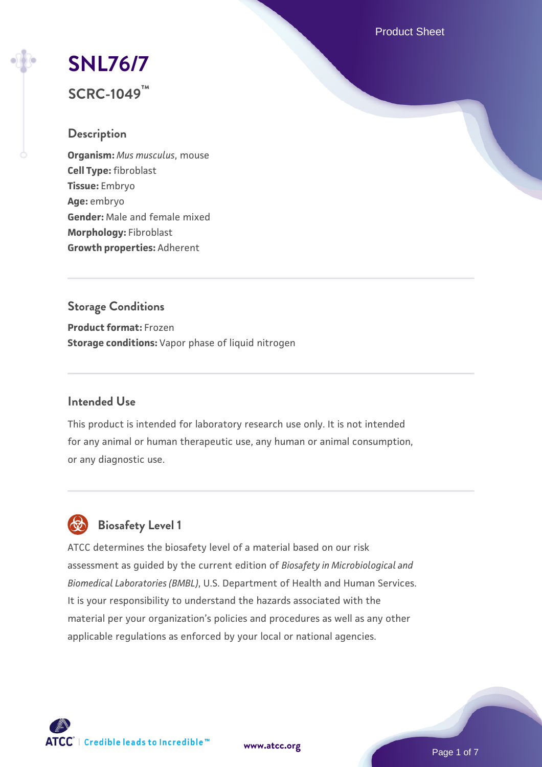Product Sheet

# **[SNL76/7](https://www.atcc.org/products/scrc-1049)**

**SCRC-1049™**

### **Description**

**Organism:** *Mus musculus*, mouse **Cell Type:** fibroblast **Tissue:** Embryo **Age:** embryo **Gender:** Male and female mixed **Morphology:** Fibroblast **Growth properties:** Adherent

# **Storage Conditions**

**Product format:** Frozen **Storage conditions:** Vapor phase of liquid nitrogen

## **Intended Use**

This product is intended for laboratory research use only. It is not intended for any animal or human therapeutic use, any human or animal consumption, or any diagnostic use.

# **Biosafety Level 1**

ATCC determines the biosafety level of a material based on our risk assessment as guided by the current edition of *Biosafety in Microbiological and Biomedical Laboratories (BMBL)*, U.S. Department of Health and Human Services. It is your responsibility to understand the hazards associated with the material per your organization's policies and procedures as well as any other applicable regulations as enforced by your local or national agencies.

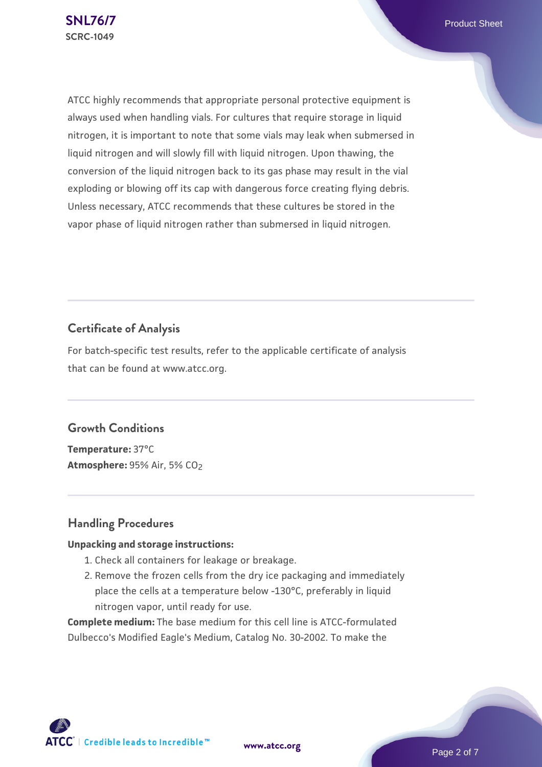ATCC highly recommends that appropriate personal protective equipment is always used when handling vials. For cultures that require storage in liquid nitrogen, it is important to note that some vials may leak when submersed in liquid nitrogen and will slowly fill with liquid nitrogen. Upon thawing, the conversion of the liquid nitrogen back to its gas phase may result in the vial exploding or blowing off its cap with dangerous force creating flying debris. Unless necessary, ATCC recommends that these cultures be stored in the vapor phase of liquid nitrogen rather than submersed in liquid nitrogen.

# **Certificate of Analysis**

For batch-specific test results, refer to the applicable certificate of analysis that can be found at www.atcc.org.

### **Growth Conditions**

**Temperature:** 37°C **Atmosphere:** 95% Air, 5% CO2

# **Handling Procedures**

### **Unpacking and storage instructions:**

- 1. Check all containers for leakage or breakage.
- 2. Remove the frozen cells from the dry ice packaging and immediately place the cells at a temperature below -130°C, preferably in liquid nitrogen vapor, until ready for use.

**Complete medium:** The base medium for this cell line is ATCC-formulated Dulbecco's Modified Eagle's Medium, Catalog No. 30-2002. To make the

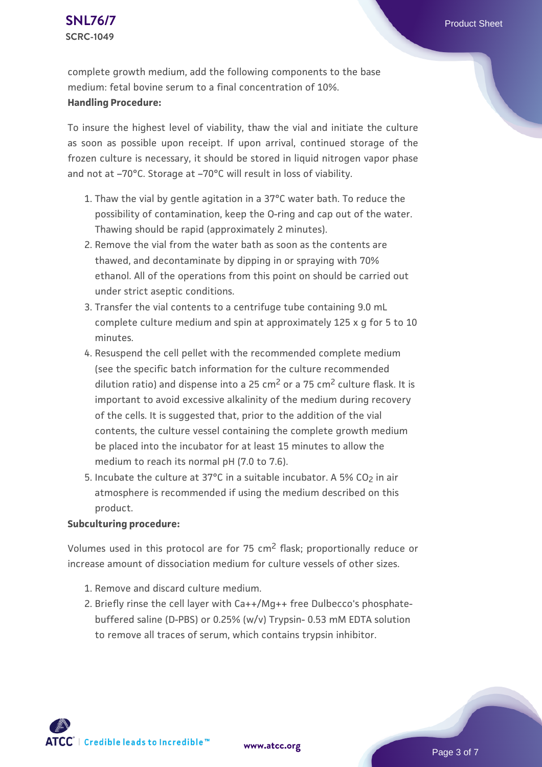complete growth medium, add the following components to the base medium: fetal bovine serum to a final concentration of 10%. **Handling Procedure:**

To insure the highest level of viability, thaw the vial and initiate the culture as soon as possible upon receipt. If upon arrival, continued storage of the frozen culture is necessary, it should be stored in liquid nitrogen vapor phase and not at –70°C. Storage at –70°C will result in loss of viability.

- 1. Thaw the vial by gentle agitation in a 37°C water bath. To reduce the  $\,$ possibility of contamination, keep the O-ring and cap out of the water. Thawing should be rapid (approximately 2 minutes).
- 2. Remove the vial from the water bath as soon as the contents are thawed, and decontaminate by dipping in or spraying with 70% ethanol. All of the operations from this point on should be carried out under strict aseptic conditions.
- 3. Transfer the vial contents to a centrifuge tube containing 9.0 mL complete culture medium and spin at approximately 125 x g for 5 to 10 minutes.
- 4. Resuspend the cell pellet with the recommended complete medium (see the specific batch information for the culture recommended dilution ratio) and dispense into a 25  $cm<sup>2</sup>$  or a 75  $cm<sup>2</sup>$  culture flask. It is important to avoid excessive alkalinity of the medium during recovery of the cells. It is suggested that, prior to the addition of the vial contents, the culture vessel containing the complete growth medium be placed into the incubator for at least 15 minutes to allow the medium to reach its normal pH (7.0 to 7.6).
- 5. Incubate the culture at 37°C in a suitable incubator. A 5% CO<sub>2</sub> in air atmosphere is recommended if using the medium described on this product.

#### **Subculturing procedure:**

Volumes used in this protocol are for 75 cm<sup>2</sup> flask; proportionally reduce or increase amount of dissociation medium for culture vessels of other sizes.

- 1. Remove and discard culture medium.
- 2. Briefly rinse the cell layer with Ca++/Mg++ free Dulbecco's phosphatebuffered saline (D-PBS) or 0.25% (w/v) Trypsin- 0.53 mM EDTA solution to remove all traces of serum, which contains trypsin inhibitor.

 $\mathsf{ATCC}^*$  | Credible leads to Incredible  $\mathbbm{m}$ 

**[www.atcc.org](http://www.atcc.org)**

Page 3 of 7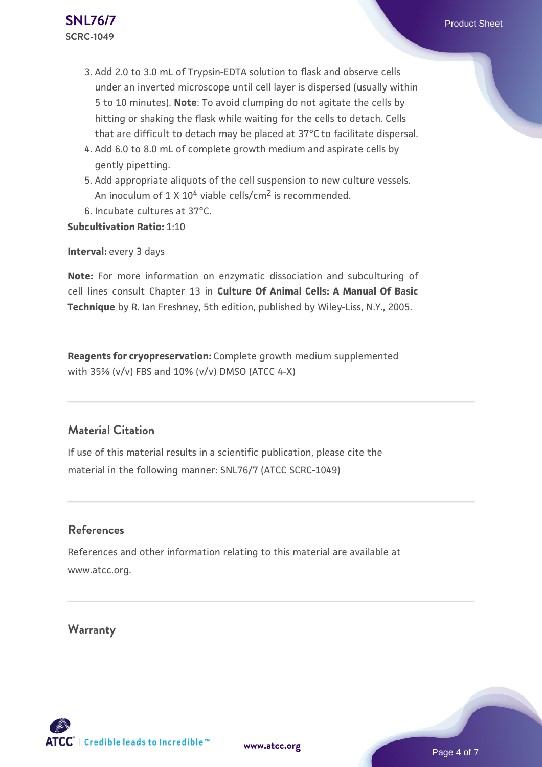# 3. Add 2.0 to 3.0 mL of Trypsin-EDTA solution to flask and observe cells under an inverted microscope until cell layer is dispersed (usually within 5 to 10 minutes). **Note**: To avoid clumping do not agitate the cells by hitting or shaking the flask while waiting for the cells to detach. Cells that are difficult to detach may be placed at 37°C to facilitate dispersal.

- Add 6.0 to 8.0 mL of complete growth medium and aspirate cells by 4. gently pipetting.
- 5. Add appropriate aliquots of the cell suspension to new culture vessels. An inoculum of 1 X 10<sup>4</sup> viable cells/cm<sup>2</sup> is recommended.
- 6. Incubate cultures at 37°C.

**Subcultivation Ratio:** 1:10

**Interval: every 3 days** 

**Note:** For more information on enzymatic dissociation and subculturing of cell lines consult Chapter 13 in **Culture Of Animal Cells: A Manual Of Basic Technique** by R. Ian Freshney, 5th edition, published by Wiley-Liss, N.Y., 2005.

**Reagents for cryopreservation:** Complete growth medium supplemented with 35% (v/v) FBS and 10% (v/v) DMSO (ATCC 4-X)

# **Material Citation**

If use of this material results in a scientific publication, please cite the material in the following manner: SNL76/7 (ATCC SCRC-1049)

### **References**

References and other information relating to this material are available at www.atcc.org.

**[www.atcc.org](http://www.atcc.org)**

**Warranty**



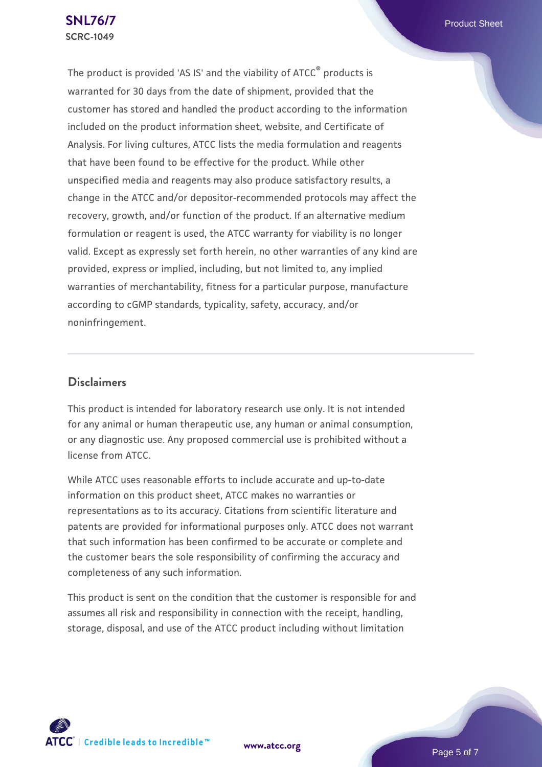The product is provided 'AS IS' and the viability of ATCC® products is warranted for 30 days from the date of shipment, provided that the customer has stored and handled the product according to the information included on the product information sheet, website, and Certificate of Analysis. For living cultures, ATCC lists the media formulation and reagents that have been found to be effective for the product. While other unspecified media and reagents may also produce satisfactory results, a change in the ATCC and/or depositor-recommended protocols may affect the recovery, growth, and/or function of the product. If an alternative medium formulation or reagent is used, the ATCC warranty for viability is no longer valid. Except as expressly set forth herein, no other warranties of any kind are provided, express or implied, including, but not limited to, any implied warranties of merchantability, fitness for a particular purpose, manufacture according to cGMP standards, typicality, safety, accuracy, and/or noninfringement.

### **Disclaimers**

This product is intended for laboratory research use only. It is not intended for any animal or human therapeutic use, any human or animal consumption, or any diagnostic use. Any proposed commercial use is prohibited without a license from ATCC.

While ATCC uses reasonable efforts to include accurate and up-to-date information on this product sheet, ATCC makes no warranties or representations as to its accuracy. Citations from scientific literature and patents are provided for informational purposes only. ATCC does not warrant that such information has been confirmed to be accurate or complete and the customer bears the sole responsibility of confirming the accuracy and completeness of any such information.

This product is sent on the condition that the customer is responsible for and assumes all risk and responsibility in connection with the receipt, handling, storage, disposal, and use of the ATCC product including without limitation



**[www.atcc.org](http://www.atcc.org)**

Page 5 of 7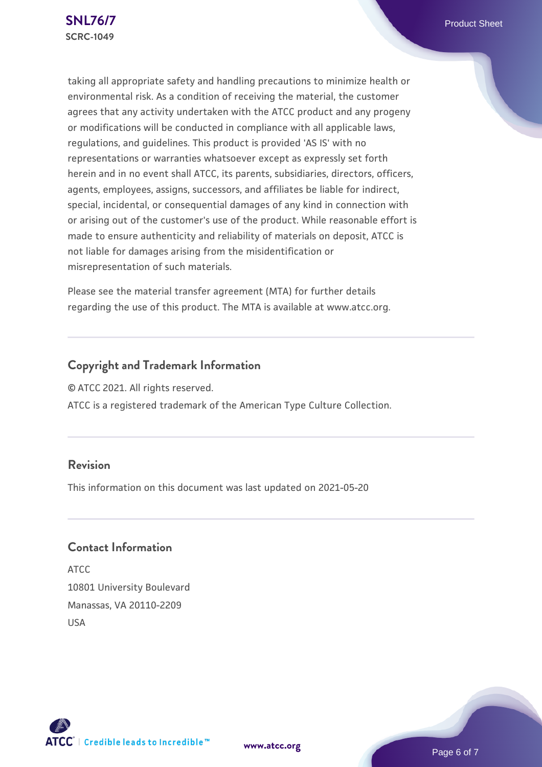taking all appropriate safety and handling precautions to minimize health or environmental risk. As a condition of receiving the material, the customer agrees that any activity undertaken with the ATCC product and any progeny or modifications will be conducted in compliance with all applicable laws, regulations, and guidelines. This product is provided 'AS IS' with no representations or warranties whatsoever except as expressly set forth herein and in no event shall ATCC, its parents, subsidiaries, directors, officers, agents, employees, assigns, successors, and affiliates be liable for indirect, special, incidental, or consequential damages of any kind in connection with or arising out of the customer's use of the product. While reasonable effort is made to ensure authenticity and reliability of materials on deposit, ATCC is not liable for damages arising from the misidentification or misrepresentation of such materials.

Please see the material transfer agreement (MTA) for further details regarding the use of this product. The MTA is available at www.atcc.org.

# **Copyright and Trademark Information**

© ATCC 2021. All rights reserved.

ATCC is a registered trademark of the American Type Culture Collection.

### **Revision**

This information on this document was last updated on 2021-05-20

## **Contact Information**

ATCC 10801 University Boulevard Manassas, VA 20110-2209 USA